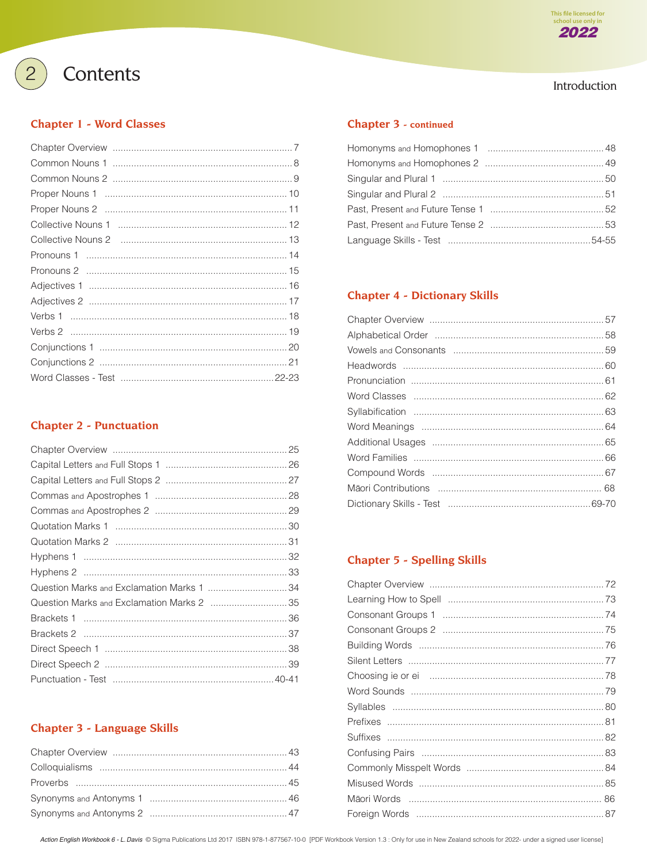

# Introduction

# Contents

 $\overline{2}$ 

### **Chapter 1 - Word Classes**

### **Chapter 2 - Punctuation**

| Question Marks and Exclamation Marks 1 34  |  |
|--------------------------------------------|--|
| Question Marks and Exclamation Marks 2  35 |  |
|                                            |  |
|                                            |  |
|                                            |  |
|                                            |  |
|                                            |  |

## **Chapter 3 - Language Skills**

### Chapter 3 - continued

# **Chapter 4 - Dictionary Skills**

# **Chapter 5 - Spelling Skills**

Action English Workbook 6 - L. Davis © Sigma Publications Ltd 2017 ISBN 978-1-877567-10-0 [PDF Workbook Version 1.3 : Only for use in New Zealand schools for 2022- under a signed user license]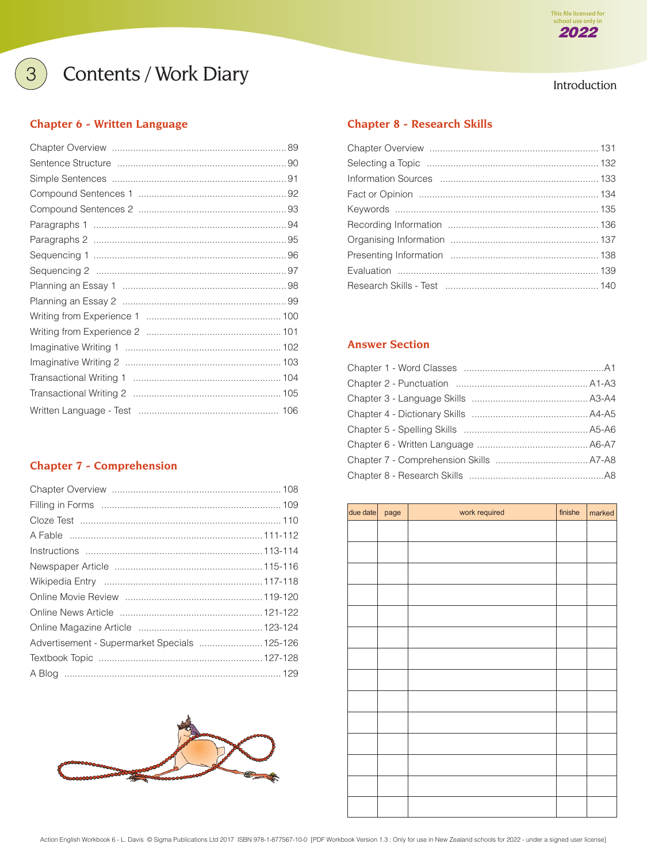# **3** Contents / Work Diary **Introduction**

### **[Chapter 6 - Written Language](#page--1-0)**

# **[Chapter 7 - Comprehension](#page--1-0)**

| Advertisement - Supermarket Specials  125-126 |  |
|-----------------------------------------------|--|
|                                               |  |
|                                               |  |



# **[Chapter 8 - Research Skills](#page--1-0)**

### **Answer Section**

| due date  page | work required | finishe | marked |
|----------------|---------------|---------|--------|
|                |               |         |        |
|                |               |         |        |
|                |               |         |        |
|                |               |         |        |
|                |               |         |        |
|                |               |         |        |
|                |               |         |        |
|                |               |         |        |
|                |               |         |        |
|                |               |         |        |
|                |               |         |        |
|                |               |         |        |
|                |               |         |        |
|                |               |         |        |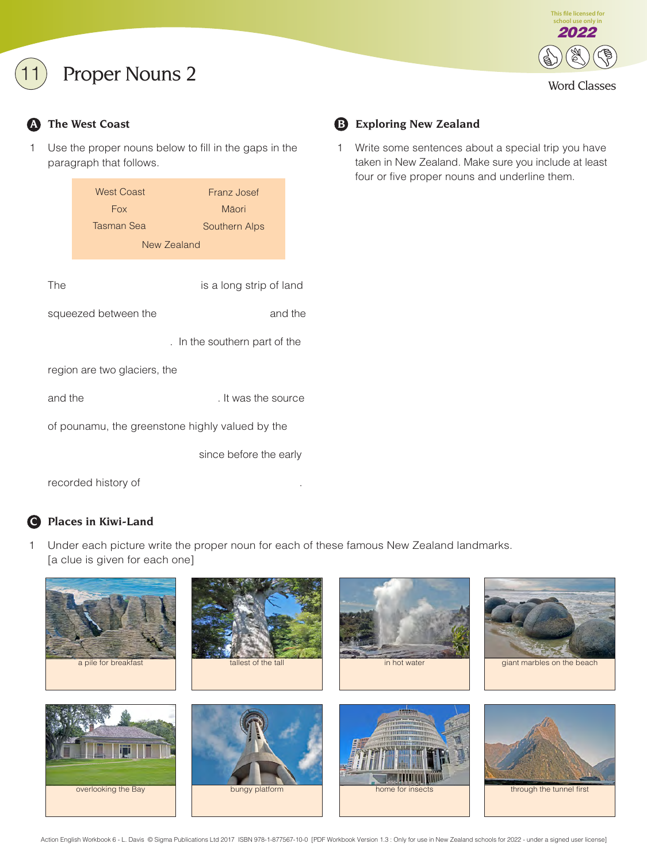# Proper Nouns 2



1 Use the proper nouns below to fill in the gaps in the paragraph that follows.

|                                                 | <b>West Coast</b><br><b>Fox</b> | Franz Josef<br>Māori    |  |
|-------------------------------------------------|---------------------------------|-------------------------|--|
|                                                 | Tasman Sea                      | Southern Alps           |  |
|                                                 | New Zealand                     |                         |  |
| The                                             |                                 | is a long strip of land |  |
| and the<br>squeezed between the                 |                                 |                         |  |
| . In the southern part of the                   |                                 |                         |  |
| region are two glaciers, the                    |                                 |                         |  |
|                                                 | and the<br>. It was the source  |                         |  |
| of pounamu, the greenstone highly valued by the |                                 |                         |  |
|                                                 |                                 | since before the early  |  |

### recorded history of

## **C Places in Kiwi-Land**

1 Under each picture write the proper noun for each of these famous New Zealand landmarks. [a clue is given for each one]



# **A** The West Coast **B** Exploring New Zealand

1 Write some sentences about a special trip you have taken in New Zealand. Make sure you include at least four or five proper nouns and underline them.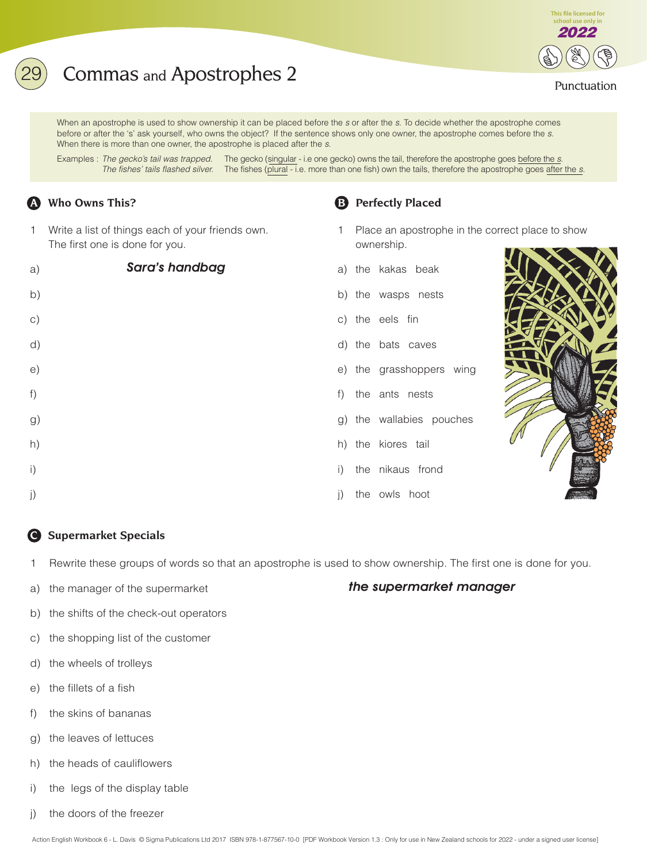# **2** Commas and Apostrophes 2 Punctuation

When an apostrophe is used to show ownership it can be placed before the s or after the s. To decide whether the apostrophe comes before or after the 's' ask yourself, who owns the object? If the sentence shows only one owner, the apostrophe comes before the s. When there is more than one owner, the apostrophe is placed after the s.

Examples : The gecko's tail was trapped. The gecko (singular - i.e one gecko) owns the tail, therefore the apostrophe goes before the s. The fishes' tails flashed silver. The fishes (plural - i.e. more than one fish) own the tails, therefore the apostrophe goes after the s.

## **A Who Owns This? B** Perfectly Placed

1 Write a list of things each of your friends own. The first one is done for you.

| a)             | Sara's handbag |              | a) the kakas beak   |
|----------------|----------------|--------------|---------------------|
| b)             |                |              | b) the wasps nests  |
| $\circ$ )      |                |              | c) the eels fin     |
| d)             |                |              | d) the bats caves   |
| e)             |                |              | e) the grasshoppers |
| f)             |                |              | f) the ants nests   |
| g)             |                |              | g) the wallabies po |
| h)             |                |              | h) the kiores tail  |
| $\mathsf{i}$ ) |                |              | i) the nikaus frond |
| j)             |                | $\mathbf{j}$ | the owls hoot       |



- 1 Place an apostrophe in the correct place to show ownership.
- 
- 
- s wing
- ouches
- 
- the owls hoot



**This file licensed for school use only** 2022

### **C Supermarket Specials**

1 Rewrite these groups of words so that an apostrophe is used to show ownership. The first one is done for you.

a) the manager of the supermarket

### the supermarket manager

- b) the shifts of the check-out operators
- c) the shopping list of the customer
- d) the wheels of trolleys
- e) the fillets of a fish
- f) the skins of bananas
- g) the leaves of lettuces
- h) the heads of cauliflowers
- i) the legs of the display table
- j) the doors of the freezer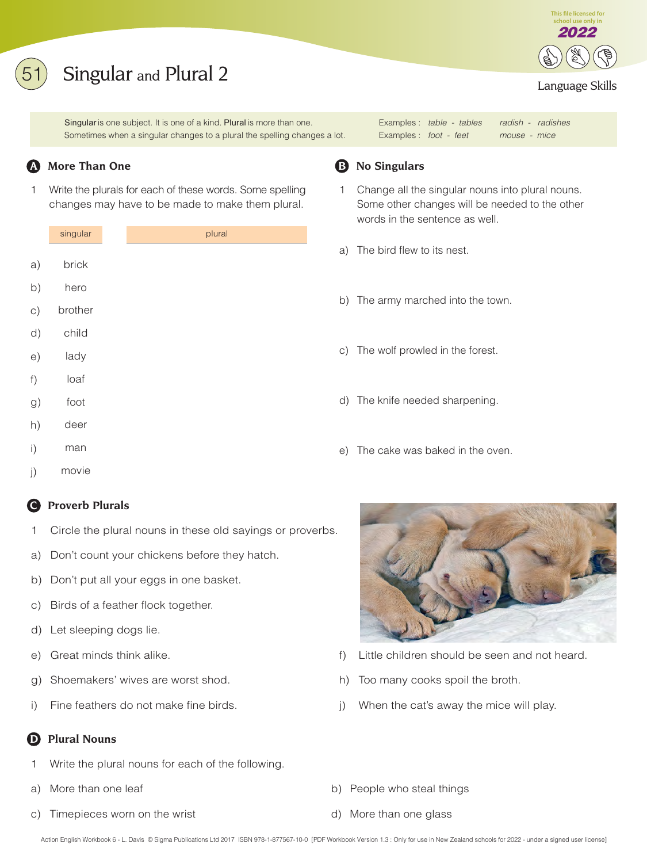# Singular and Plural 2

Singular is one subject. It is one of a kind. Plural is more than one. The samples : table - tables radish - radishes Sometimes when a singular changes to a plural the spelling changes a lot. Examples : foot - feet mouse - mice

1 Write the plurals for each of these words. Some spelling changes may have to be made to make them plural.

|    | singular |
|----|----------|
|    |          |
| a) | brick    |
| b) | hero     |
| c) | brother  |
| d) | child    |
| e) | lady     |
| f) | loaf     |
| g) | foot     |
| h) | deer     |

- man i)
- movie j)

## **C Proverb Plurals**

- 1 Circle the plural nouns in these old sayings or proverbs.
- a) Don't count your chickens before they hatch.
- b) Don't put all your eggs in one basket.
- c) Birds of a feather flock together.
- d) Let sleeping dogs lie.
- 
- g) Shoemakers' wives are worst shod. h) Too many cooks spoil the broth.
- 

# **Plural Nouns**

- Write the plural nouns for each of the following.
- 
- c) Timepieces worn on the wrist d) More than one glass



## **A** More Than One **B** No Singulars

- 1 Change all the singular nouns into plural nouns. Some other changes will be needed to the other words in the sentence as well.
- a) The bird flew to its nest.
- b) The army marched into the town.
- c) The wolf prowled in the forest.
- d) The knife needed sharpening.
- e) The cake was baked in the oven.



- e) Great minds think alike. f) Little children should be seen and not heard.
	-
- i) Fine feathers do not make fine birds.  $j$  when the cat's away the mice will play.
- a) More than one leaf b) People who steal things
	-

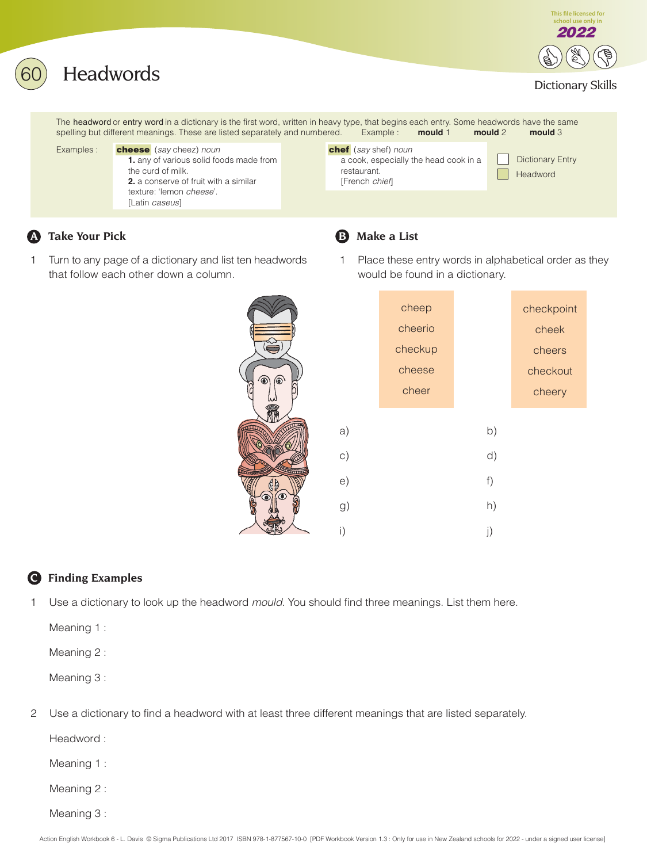

# **A** Take Your Pick **B** Make a List

1 Turn to any page of a dictionary and list ten headwords that follow each other down a column.



- 
- 1 Place these entry words in alphabetical order as they would be found in a dictionary.

**This file licensed for** school use only i 2022

|               |          | cheep   |    | checkpoint |
|---------------|----------|---------|----|------------|
| $\frac{1}{2}$ |          | cheerio |    | cheek      |
|               |          | checkup |    | cheers     |
|               |          | cheese  |    | checkout   |
| $\wp$         |          | cheer   |    | cheery     |
|               | a)       |         | b) |            |
|               | $\circ)$ |         | d) |            |
|               | e)       |         | f) |            |
|               | g)       |         | h) |            |
|               | i)       |         | j) |            |

## **C Finding Examples**

1 Use a dictionary to look up the headword mould. You should find three meanings. List them here.

Meaning 1 :

Meaning 2 :

Meaning 3 :

2 Use a dictionary to find a headword with at least three different meanings that are listed separately.

Headword :

Meaning 1 :

Meaning 2 :

Meaning 3 :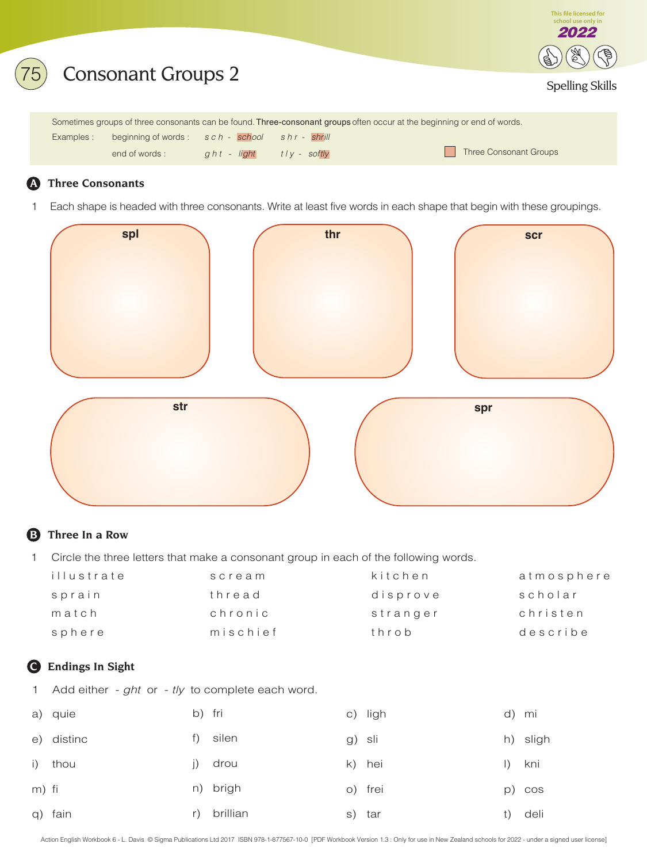

### **A Three Consonants**

1 Each shape is headed with three consonants. Write at least five words in each shape that begin with these groupings.



## **B Three In a Row**

1 Circle the three letters that make a consonant group in each of the following words.

| illustrate | scream   | kitchen  | atmosphere |
|------------|----------|----------|------------|
| sprain     | thread   | disprove | scholar    |
| match      | chronic  | stranger | christen   |
| sphere     | mischief | throb    | describe   |

### **C Endings In Sight**

1 Add either -  $ght$  or -  $tly$  to complete each word.

|       | a) quie    | b) fri |          |        | c) ligh |                          | d) mi    |
|-------|------------|--------|----------|--------|---------|--------------------------|----------|
|       | e) distinc |        | f) silen | g) sli |         |                          | h) sligh |
|       | i) thou    |        | j) drou  |        | k) hei  | $\left  \ \right\rangle$ | kni      |
| m) fi |            |        | n) brigh |        | o) frei |                          | p) cos   |
|       | q) fain    | r)     | brillian |        | s) tar  |                          | deli     |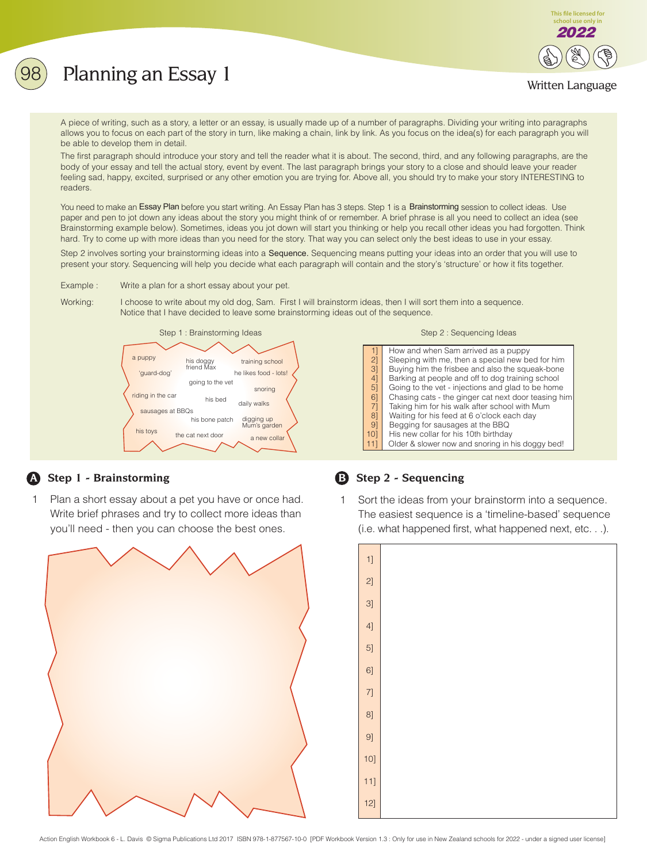# Planning an Essay 1



### Written Language

A piece of writing, such as a story, a letter or an essay, is usually made up of a number of paragraphs. Dividing your writing into paragraphs allows you to focus on each part of the story in turn, like making a chain, link by link. As you focus on the idea(s) for each paragraph you will be able to develop them in detail.

The first paragraph should introduce your story and tell the reader what it is about. The second, third, and any following paragraphs, are the body of your essay and tell the actual story, event by event. The last paragraph brings your story to a close and should leave your reader feeling sad, happy, excited, surprised or any other emotion you are trying for. Above all, you should try to make your story INTERESTING to readers.

You need to make an Essay Plan before you start writing. An Essay Plan has 3 steps. Step 1 is a Brainstorming session to collect ideas. Use paper and pen to jot down any ideas about the story you might think of or remember. A brief phrase is all you need to collect an idea (see Brainstorming example below). Sometimes, ideas you jot down will start you thinking or help you recall other ideas you had forgotten. Think hard. Try to come up with more ideas than you need for the story. That way you can select only the best ideas to use in your essay.

Step 2 involves sorting your brainstorming ideas into a Sequence. Sequencing means putting your ideas into an order that you will use to present your story. Sequencing will help you decide what each paragraph will contain and the story's 'structure' or how it fits together.

Example : Write a plan for a short essay about your pet.

Working: I choose to write about my old dog, Sam. First I will brainstorm ideas, then I will sort them into a sequence. Notice that I have decided to leave some brainstorming ideas out of the sequence.



### **A Step 1 - Brainstorming B Step 2 - Sequencing**

1 Plan a short essay about a pet you have or once had. Write brief phrases and try to collect more ideas than you'll need - then you can choose the best ones.



|                                                  | How and when Sam arrived as a puppy                 |
|--------------------------------------------------|-----------------------------------------------------|
| $\begin{bmatrix} 1 \\ 2 \end{bmatrix}$           | Sleeping with me, then a special new bed for him    |
| 3]                                               | Buying him the frisbee and also the squeak-bone     |
| $4\overline{1}$                                  | Barking at people and off to dog training school    |
| $5\overline{)}$                                  | Going to the vet - injections and glad to be home   |
| $\begin{bmatrix} 6 \\ 7 \\ 8 \\ 9 \end{bmatrix}$ | Chasing cats - the ginger cat next door teasing him |
|                                                  | Taking him for his walk after school with Mum       |
|                                                  | Waiting for his feed at 6 o'clock each day          |
|                                                  | Begging for sausages at the BBQ                     |
| 101                                              | His new collar for his 10th birthday                |
| 11]                                              | Older & slower now and snoring in his doggy bed!    |
|                                                  |                                                     |

1 Sort the ideas from your brainstorm into a sequence. The easiest sequence is a 'timeline-based' sequence (i.e. what happened first, what happened next, etc. . .).

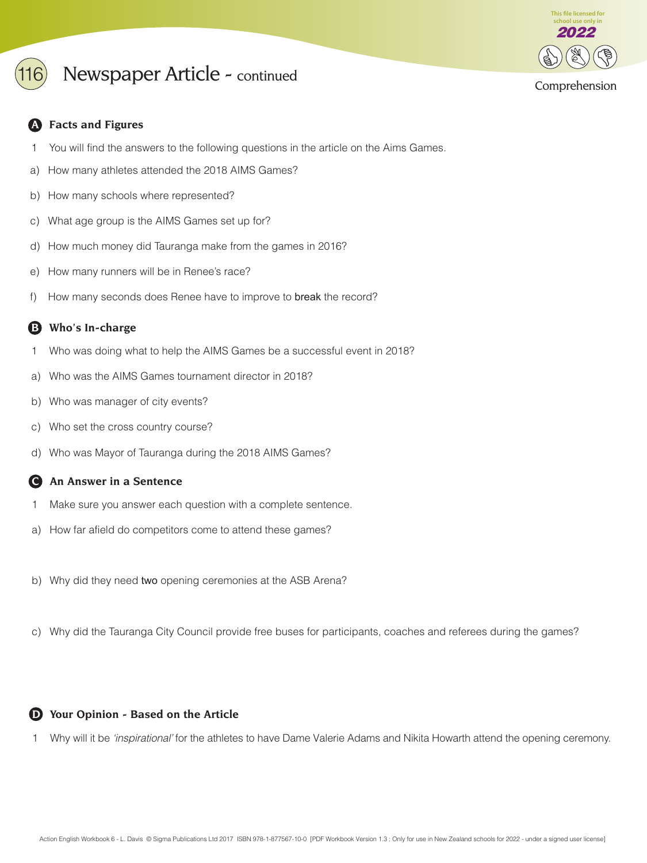

# Newspaper Article - continued

### **A Facts and Figures**

- 1 You will find the answers to the following questions in the article on the Aims Games.
- a) How many athletes attended the 2018 AIMS Games?
- b) How many schools where represented?
- c) What age group is the AIMS Games set up for?
- d) How much money did Tauranga make from the games in 2016?
- e) How many runners will be in Renee's race?
- f) How many seconds does Renee have to improve to break the record?

## **B Who's In-charge**

- 1 Who was doing what to help the AIMS Games be a successful event in 2018?
- a) Who was the AIMS Games tournament director in 2018?
- b) Who was manager of city events?
- c) Who set the cross country course?
- d) Who was Mayor of Tauranga during the 2018 AIMS Games?

### **C An Answer in a Sentence**

- 1 Make sure you answer each question with a complete sentence.
- a) How far afield do competitors come to attend these games?
- b) Why did they need two opening ceremonies at the ASB Arena?
- c) Why did the Tauranga City Council provide free buses for participants, coaches and referees during the games?

### **D Your Opinion - Based on the Article**

1 Why will it be 'inspirational' for the athletes to have Dame Valerie Adams and Nikita Howarth attend the opening ceremony.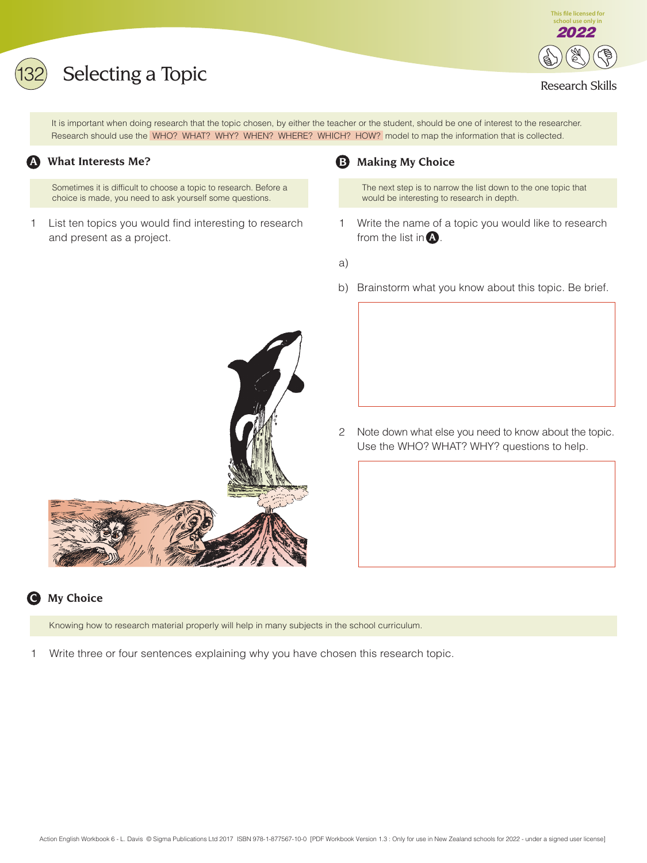# Selecting a Topic **Selecting a Topic**



It is important when doing research that the topic chosen, by either the teacher or the student, should be one of interest to the researcher. Research should use the WHO? WHAT? WHY? WHEN? WHERE? WHICH? HOW? model to map the information that is collected.

### **A What Interests Me?**

Sometimes it is difficult to choose a topic to research. Before a choice is made, you need to ask yourself some questions.

1 List ten topics you would find interesting to research and present as a project.

## **B Making My Choice**

The next step is to narrow the list down to the one topic that would be interesting to research in depth.

- 1 Write the name of a topic you would like to research from the list in  $\bf{A}$ .
- a)
- b) Brainstorm what you know about this topic. Be brief.
- 
- 2 Note down what else you need to know about the topic. Use the WHO? WHAT? WHY? questions to help.

# **C My Choice**

Knowing how to research material properly will help in many subjects in the school curriculum.

1 Write three or four sentences explaining why you have chosen this research topic.